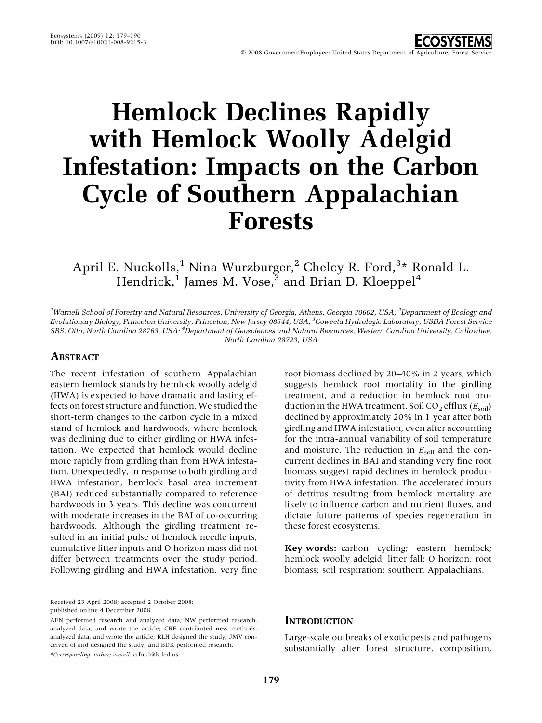# Hemlock Declines Rapidly with Hemlock Woolly Adelgid Infestation: Impacts on the Carbon Cycle of Southern Appalachian Forests

April E. Nuckolls,<sup>1</sup> Nina Wurzburger,<sup>2</sup> Chelcy R. Ford,<sup>3</sup>\* Ronald L. Hendrick, $^1$  James M. Vose, $^3$  and Brian D. Kloeppel $^4$ 

<sup>1</sup>Warnell School of Forestry and Natural Resources, University of Georgia, Athens, Georgia 30602, USA; <sup>2</sup>Department of Ecology and Evolutionary Biology, Princeton University, Princeton, New Jersey 08544, USA; <sup>3</sup>Coweeta Hydrologic Laboratory, USDA Forest Service SRS, Otto, North Carolina 28763, USA; <sup>4</sup> Department of Geosciences and Natural Resources, Western Carolina University, Cullowhee, North Carolina 28723, USA

# **ABSTRACT**

The recent infestation of southern Appalachian eastern hemlock stands by hemlock woolly adelgid (HWA) is expected to have dramatic and lasting effects on forest structure and function. We studied the short-term changes to the carbon cycle in a mixed stand of hemlock and hardwoods, where hemlock was declining due to either girdling or HWA infestation. We expected that hemlock would decline more rapidly from girdling than from HWA infestation. Unexpectedly, in response to both girdling and HWA infestation, hemlock basal area increment (BAI) reduced substantially compared to reference hardwoods in 3 years. This decline was concurrent with moderate increases in the BAI of co-occurring hardwoods. Although the girdling treatment resulted in an initial pulse of hemlock needle inputs, cumulative litter inputs and O horizon mass did not differ between treatments over the study period. Following girdling and HWA infestation, very fine

root biomass declined by 20–40% in 2 years, which suggests hemlock root mortality in the girdling treatment, and a reduction in hemlock root production in the HWA treatment. Soil  $CO_2$  efflux ( $E_{\text{soil}}$ ) declined by approximately 20% in 1 year after both girdling and HWA infestation, even after accounting for the intra-annual variability of soil temperature and moisture. The reduction in  $E_{\text{solid}}$  and the concurrent declines in BAI and standing very fine root biomass suggest rapid declines in hemlock productivity from HWA infestation. The accelerated inputs of detritus resulting from hemlock mortality are likely to influence carbon and nutrient fluxes, and dictate future patterns of species regeneration in these forest ecosystems.

Key words: carbon cycling; eastern hemlock; hemlock woolly adelgid; litter fall; O horizon; root biomass; soil respiration; southern Appalachians.

published online 4 December 2008

#### **INTRODUCTION**

Large-scale outbreaks of exotic pests and pathogens substantially alter forest structure, composition,

Received 23 April 2008; accepted 2 October 2008;

AEN performed research and analyzed data; NW performed research, analyzed data, and wrote the article; CRF contributed new methods, analyzed data, and wrote the article; RLH designed the study; JMV conceived of and designed the study; and BDK performed research. \*Corresponding author; e-mail: crford@fs.fed.us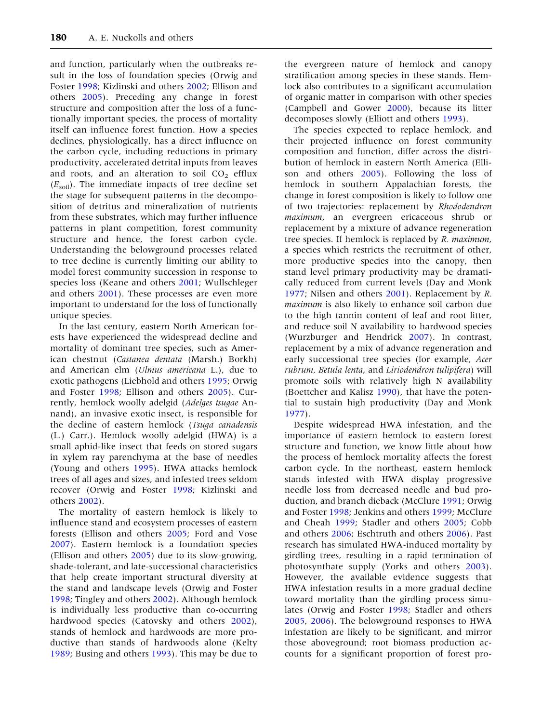and function, particularly when the outbreaks result in the loss of foundation species (Orwig and Foster [1998;](#page-11-0) Kizlinski and others [2002;](#page-11-0) Ellison and others [2005](#page-10-0)). Preceding any change in forest structure and composition after the loss of a functionally important species, the process of mortality itself can influence forest function. How a species declines, physiologically, has a direct influence on the carbon cycle, including reductions in primary productivity, accelerated detrital inputs from leaves and roots, and an alteration to soil  $CO<sub>2</sub>$  efflux  $(E_{\text{soil}})$ . The immediate impacts of tree decline set the stage for subsequent patterns in the decomposition of detritus and mineralization of nutrients from these substrates, which may further influence patterns in plant competition, forest community structure and hence, the forest carbon cycle. Understanding the belowground processes related to tree decline is currently limiting our ability to model forest community succession in response to species loss (Keane and others [2001;](#page-11-0) Wullschleger and others [2001\)](#page-11-0). These processes are even more important to understand for the loss of functionally unique species.

In the last century, eastern North American forests have experienced the widespread decline and mortality of dominant tree species, such as American chestnut (Castanea dentata (Marsh.) Borkh) and American elm (Ulmus americana L.), due to exotic pathogens (Liebhold and others [1995](#page-11-0); Orwig and Foster [1998;](#page-11-0) Ellison and others [2005\)](#page-10-0). Currently, hemlock woolly adelgid (Adelges tsugae Annand), an invasive exotic insect, is responsible for the decline of eastern hemlock (Tsuga canadensis (L.) Carr.). Hemlock woolly adelgid (HWA) is a small aphid-like insect that feeds on stored sugars in xylem ray parenchyma at the base of needles (Young and others [1995](#page-11-0)). HWA attacks hemlock trees of all ages and sizes, and infested trees seldom recover (Orwig and Foster [1998](#page-11-0); Kizlinski and others [2002\)](#page-11-0).

The mortality of eastern hemlock is likely to influence stand and ecosystem processes of eastern forests (Ellison and others [2005](#page-10-0); Ford and Vose [2007\)](#page-11-0). Eastern hemlock is a foundation species (Ellison and others [2005\)](#page-10-0) due to its slow-growing, shade-tolerant, and late-successional characteristics that help create important structural diversity at the stand and landscape levels (Orwig and Foster [1998;](#page-11-0) Tingley and others [2002\)](#page-11-0). Although hemlock is individually less productive than co-occurring hardwood species (Catovsky and others [2002](#page-10-0)), stands of hemlock and hardwoods are more productive than stands of hardwoods alone (Kelty [1989;](#page-11-0) Busing and others [1993\)](#page-10-0). This may be due to

the evergreen nature of hemlock and canopy stratification among species in these stands. Hemlock also contributes to a significant accumulation of organic matter in comparison with other species (Campbell and Gower [2000](#page-10-0)), because its litter decomposes slowly (Elliott and others [1993\)](#page-10-0).

The species expected to replace hemlock, and their projected influence on forest community composition and function, differ across the distribution of hemlock in eastern North America (Ellison and others [2005](#page-10-0)). Following the loss of hemlock in southern Appalachian forests, the change in forest composition is likely to follow one of two trajectories: replacement by Rhododendron maximum, an evergreen ericaceous shrub or replacement by a mixture of advance regeneration tree species. If hemlock is replaced by R. maximum, a species which restricts the recruitment of other, more productive species into the canopy, then stand level primary productivity may be dramatically reduced from current levels (Day and Monk [1977;](#page-10-0) Nilsen and others [2001\)](#page-11-0). Replacement by R. maximum is also likely to enhance soil carbon due to the high tannin content of leaf and root litter, and reduce soil N availability to hardwood species (Wurzburger and Hendrick [2007](#page-11-0)). In contrast, replacement by a mix of advance regeneration and early successional tree species (for example, Acer rubrum, Betula lenta, and Liriodendron tulipifera) will promote soils with relatively high N availability (Boettcher and Kalisz [1990\)](#page-10-0), that have the potential to sustain high productivity (Day and Monk [1977\)](#page-10-0).

Despite widespread HWA infestation, and the importance of eastern hemlock to eastern forest structure and function, we know little about how the process of hemlock mortality affects the forest carbon cycle. In the northeast, eastern hemlock stands infested with HWA display progressive needle loss from decreased needle and bud production, and branch dieback (McClure [1991](#page-11-0); Orwig and Foster [1998;](#page-11-0) Jenkins and others [1999](#page-11-0); McClure and Cheah [1999](#page-11-0); Stadler and others [2005](#page-11-0); Cobb and others [2006](#page-10-0); Eschtruth and others [2006](#page-10-0)). Past research has simulated HWA-induced mortality by girdling trees, resulting in a rapid termination of photosynthate supply (Yorks and others [2003](#page-11-0)). However, the available evidence suggests that HWA infestation results in a more gradual decline toward mortality than the girdling process simulates (Orwig and Foster [1998](#page-11-0); Stadler and others [2005,](#page-11-0) [2006\)](#page-11-0). The belowground responses to HWA infestation are likely to be significant, and mirror those aboveground; root biomass production accounts for a significant proportion of forest pro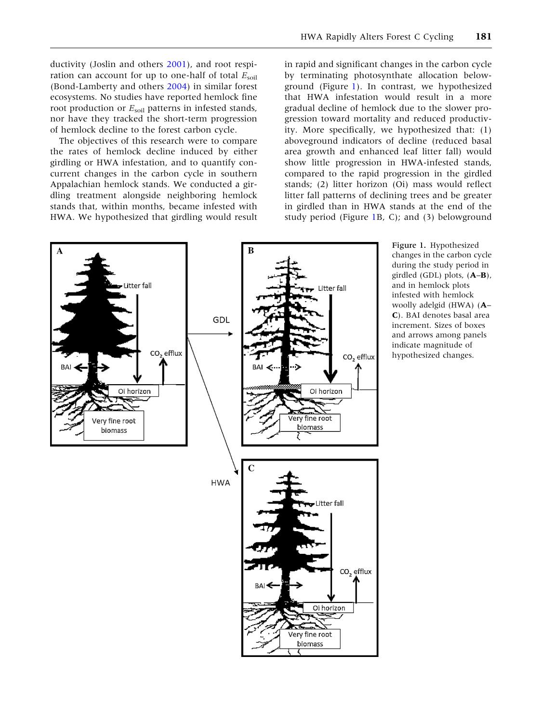ductivity (Joslin and others [2001\)](#page-11-0), and root respiration can account for up to one-half of total  $E_{\text{soil}}$ (Bond-Lamberty and others [2004\)](#page-10-0) in similar forest ecosystems. No studies have reported hemlock fine root production or  $E_{\text{solid}}$  patterns in infested stands, nor have they tracked the short-term progression of hemlock decline to the forest carbon cycle.

The objectives of this research were to compare the rates of hemlock decline induced by either girdling or HWA infestation, and to quantify concurrent changes in the carbon cycle in southern Appalachian hemlock stands. We conducted a girdling treatment alongside neighboring hemlock stands that, within months, became infested with HWA. We hypothesized that girdling would result in rapid and significant changes in the carbon cycle by terminating photosynthate allocation belowground (Figure 1). In contrast, we hypothesized that HWA infestation would result in a more gradual decline of hemlock due to the slower progression toward mortality and reduced productivity. More specifically, we hypothesized that: (1) aboveground indicators of decline (reduced basal area growth and enhanced leaf litter fall) would show little progression in HWA-infested stands, compared to the rapid progression in the girdled stands; (2) litter horizon (Oi) mass would reflect litter fall patterns of declining trees and be greater in girdled than in HWA stands at the end of the study period (Figure 1B, C); and (3) belowground



Figure 1. Hypothesized changes in the carbon cycle during the study period in girdled (GDL) plots,  $(A-B)$ , and in hemlock plots infested with hemlock woolly adelgid (HWA) (A– C). BAI denotes basal area increment. Sizes of boxes and arrows among panels indicate magnitude of hypothesized changes.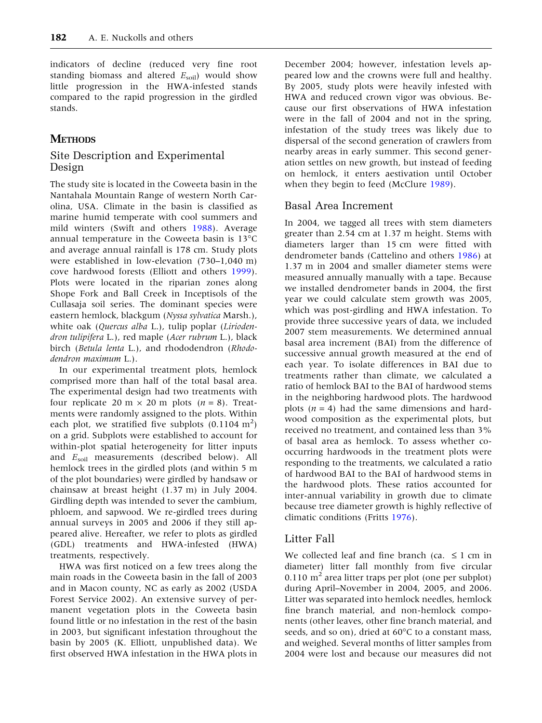indicators of decline (reduced very fine root standing biomass and altered  $E_{\text{soil}}$ ) would show little progression in the HWA-infested stands compared to the rapid progression in the girdled stands.

# **METHODS**

# Site Description and Experimental Design

The study site is located in the Coweeta basin in the Nantahala Mountain Range of western North Carolina, USA. Climate in the basin is classified as marine humid temperate with cool summers and mild winters (Swift and others [1988\)](#page-11-0). Average annual temperature in the Coweeta basin is  $13^{\circ}$ C and average annual rainfall is 178 cm. Study plots were established in low-elevation (730–1,040 m) cove hardwood forests (Elliott and others [1999](#page-10-0)). Plots were located in the riparian zones along Shope Fork and Ball Creek in Inceptisols of the Cullasaja soil series. The dominant species were eastern hemlock, blackgum (Nyssa sylvatica Marsh.), white oak (Quercus alba L.), tulip poplar (Liriodendron tulipifera L.), red maple (Acer rubrum L.), black birch (Betula lenta L.), and rhododendron (Rhododendron maximum L.).

In our experimental treatment plots, hemlock comprised more than half of the total basal area. The experimental design had two treatments with four replicate 20 m  $\times$  20 m plots (*n* = 8). Treatments were randomly assigned to the plots. Within each plot, we stratified five subplots  $(0.1104 \text{ m}^2)$ on a grid. Subplots were established to account for within-plot spatial heterogeneity for litter inputs and  $E_{\text{solid}}$  measurements (described below). All hemlock trees in the girdled plots (and within 5 m of the plot boundaries) were girdled by handsaw or chainsaw at breast height (1.37 m) in July 2004. Girdling depth was intended to sever the cambium, phloem, and sapwood. We re-girdled trees during annual surveys in 2005 and 2006 if they still appeared alive. Hereafter, we refer to plots as girdled (GDL) treatments and HWA-infested (HWA) treatments, respectively.

HWA was first noticed on a few trees along the main roads in the Coweeta basin in the fall of 2003 and in Macon county, NC as early as 2002 (USDA Forest Service 2002). An extensive survey of permanent vegetation plots in the Coweeta basin found little or no infestation in the rest of the basin in 2003, but significant infestation throughout the basin by 2005 (K. Elliott, unpublished data). We first observed HWA infestation in the HWA plots in

December 2004; however, infestation levels appeared low and the crowns were full and healthy. By 2005, study plots were heavily infested with HWA and reduced crown vigor was obvious. Because our first observations of HWA infestation were in the fall of 2004 and not in the spring, infestation of the study trees was likely due to dispersal of the second generation of crawlers from nearby areas in early summer. This second generation settles on new growth, but instead of feeding on hemlock, it enters aestivation until October when they begin to feed (McClure [1989](#page-11-0)).

# Basal Area Increment

In 2004, we tagged all trees with stem diameters greater than 2.54 cm at 1.37 m height. Stems with diameters larger than 15 cm were fitted with dendrometer bands (Cattelino and others [1986](#page-10-0)) at 1.37 m in 2004 and smaller diameter stems were measured annually manually with a tape. Because we installed dendrometer bands in 2004, the first year we could calculate stem growth was 2005, which was post-girdling and HWA infestation. To provide three successive years of data, we included 2007 stem measurements. We determined annual basal area increment (BAI) from the difference of successive annual growth measured at the end of each year. To isolate differences in BAI due to treatments rather than climate, we calculated a ratio of hemlock BAI to the BAI of hardwood stems in the neighboring hardwood plots. The hardwood plots ( $n = 4$ ) had the same dimensions and hardwood composition as the experimental plots, but received no treatment, and contained less than 3% of basal area as hemlock. To assess whether cooccurring hardwoods in the treatment plots were responding to the treatments, we calculated a ratio of hardwood BAI to the BAI of hardwood stems in the hardwood plots. These ratios accounted for inter-annual variability in growth due to climate because tree diameter growth is highly reflective of climatic conditions (Fritts [1976](#page-11-0)).

# Litter Fall

We collected leaf and fine branch (ca.  $\leq 1$  cm in diameter) litter fall monthly from five circular  $0.110 \text{ m}^2$  area litter traps per plot (one per subplot) during April–November in 2004, 2005, and 2006. Litter was separated into hemlock needles, hemlock fine branch material, and non-hemlock components (other leaves, other fine branch material, and seeds, and so on), dried at  $60^{\circ}$ C to a constant mass, and weighed. Several months of litter samples from 2004 were lost and because our measures did not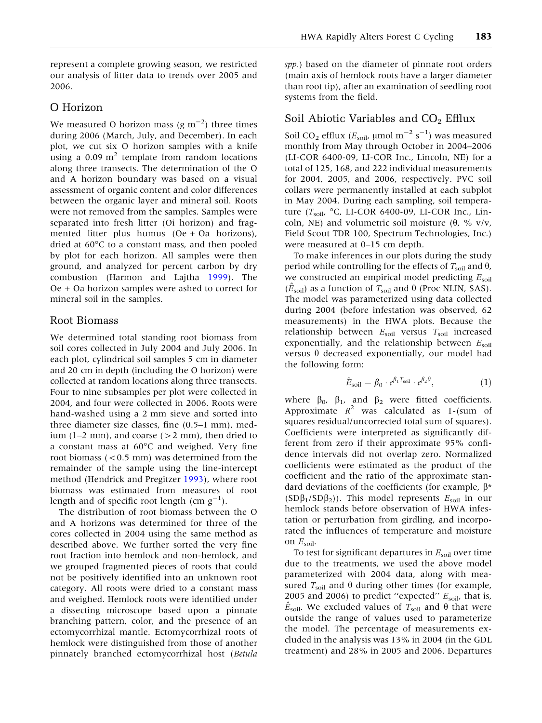represent a complete growing season, we restricted our analysis of litter data to trends over 2005 and 2006.

# O Horizon

We measured O horizon mass (g  $\text{m}^{-2}$ ) three times during 2006 (March, July, and December). In each plot, we cut six O horizon samples with a knife using a  $0.09 \text{ m}^2$  template from random locations along three transects. The determination of the O and A horizon boundary was based on a visual assessment of organic content and color differences between the organic layer and mineral soil. Roots were not removed from the samples. Samples were separated into fresh litter (Oi horizon) and fragmented litter plus humus  $(0e + 0a)$  horizons), dried at 60°C to a constant mass, and then pooled by plot for each horizon. All samples were then ground, and analyzed for percent carbon by dry combustion (Harmon and Lajtha [1999\)](#page-11-0). The Oe + Oa horizon samples were ashed to correct for mineral soil in the samples.

# Root Biomass

We determined total standing root biomass from soil cores collected in July 2004 and July 2006. In each plot, cylindrical soil samples 5 cm in diameter and 20 cm in depth (including the O horizon) were collected at random locations along three transects. Four to nine subsamples per plot were collected in 2004, and four were collected in 2006. Roots were hand-washed using a 2 mm sieve and sorted into three diameter size classes, fine (0.5–1 mm), medium (1–2 mm), and coarse ( $>$ 2 mm), then dried to a constant mass at  $60^{\circ}$ C and weighed. Very fine root biomass  $(< 0.5$  mm) was determined from the remainder of the sample using the line-intercept method (Hendrick and Pregitzer [1993](#page-11-0)), where root biomass was estimated from measures of root length and of specific root length (cm  $g^{-1}$ ).

The distribution of root biomass between the O and A horizons was determined for three of the cores collected in 2004 using the same method as described above. We further sorted the very fine root fraction into hemlock and non-hemlock, and we grouped fragmented pieces of roots that could not be positively identified into an unknown root category. All roots were dried to a constant mass and weighed. Hemlock roots were identified under a dissecting microscope based upon a pinnate branching pattern, color, and the presence of an ectomycorrhizal mantle. Ectomycorrhizal roots of hemlock were distinguished from those of another pinnately branched ectomycorrhizal host (Betula spp.) based on the diameter of pinnate root orders (main axis of hemlock roots have a larger diameter than root tip), after an examination of seedling root systems from the field.

# Soil Abiotic Variables and  $CO<sub>2</sub>$  Efflux

Soil CO<sub>2</sub> efflux ( $E_{\text{soil}}$ , µmol m<sup>-2</sup> s<sup>-1</sup>) was measured monthly from May through October in 2004–2006 (LI-COR 6400-09, LI-COR Inc., Lincoln, NE) for a total of 125, 168, and 222 individual measurements for 2004, 2005, and 2006, respectively. PVC soil collars were permanently installed at each subplot in May 2004. During each sampling, soil temperature  $(T_{\rm soil}, {}^{\circ}C, LI\text{-COR } 6400\text{-}09, LI\text{-COR } Inc., Lin$ coln, NE) and volumetric soil moisture  $(\theta, \% \text{ v/v},$ Field Scout TDR 100, Spectrum Technologies, Inc.) were measured at 0–15 cm depth.

To make inferences in our plots during the study period while controlling for the effects of  $T_{\text{solid}}$  and  $\theta$ , we constructed an empirical model predicting  $E_{\text{solid}}$  $(\hat{E}_{\text{soil}})$  as a function of  $T_{\text{soil}}$  and  $\theta$  (Proc NLIN, SAS). The model was parameterized using data collected during 2004 (before infestation was observed, 62 measurements) in the HWA plots. Because the relationship between  $E_{\text{solid}}$  versus  $T_{\text{solid}}$  increased exponentially, and the relationship between  $E_{\text{soil}}$ versus  $\theta$  decreased exponentially, our model had the following form:

$$
\hat{E}_{\text{soil}} = \beta_0 \cdot e^{\beta_1 T_{\text{soil}}} \cdot e^{\beta_2 \theta},\tag{1}
$$

where  $\beta_0$ ,  $\beta_1$ , and  $\beta_2$  were fitted coefficients. Approximate  $R^2$  was calculated as 1-(sum of squares residual/uncorrected total sum of squares). Coefficients were interpreted as significantly different from zero if their approximate 95% confidence intervals did not overlap zero. Normalized coefficients were estimated as the product of the coefficient and the ratio of the approximate standard deviations of the coefficients (for example,  $\beta^*$  $(SD\beta_1/SD\beta_2)$ ). This model represents  $E_{\text{solid}}$  in our hemlock stands before observation of HWA infestation or perturbation from girdling, and incorporated the influences of temperature and moisture on  $E_{\text{soil}}$ .

To test for significant departures in  $E_{\text{solid}}$  over time due to the treatments, we used the above model parameterized with 2004 data, along with measured  $T_{\text{solid}}$  and  $\theta$  during other times (for example, 2005 and 2006) to predict "expected"  $E_{\text{soil}}$ , that is,  $\hat{E}_{\text{soil}}$ . We excluded values of  $T_{\text{soil}}$  and  $\theta$  that were outside the range of values used to parameterize the model. The percentage of measurements excluded in the analysis was 13% in 2004 (in the GDL treatment) and 28% in 2005 and 2006. Departures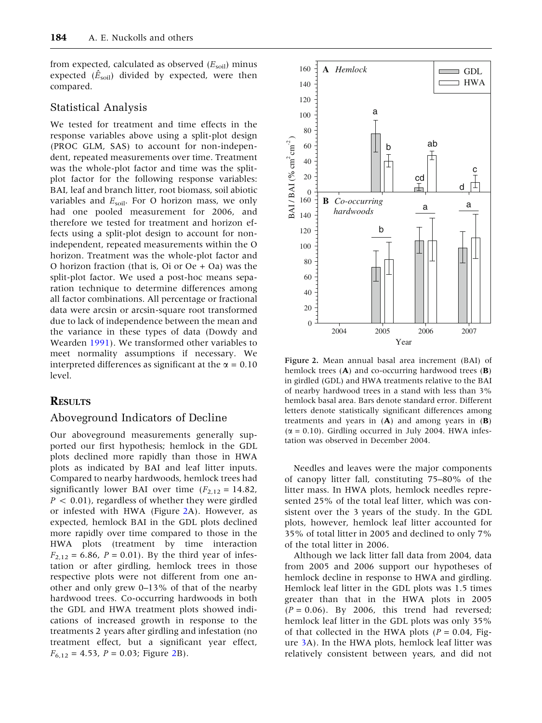from expected, calculated as observed  $(E_{\text{soil}})$  minus expected  $(\hat{E}_{\text{soil}})$  divided by expected, were then compared.

# Statistical Analysis

We tested for treatment and time effects in the response variables above using a split-plot design (PROC GLM, SAS) to account for non-independent, repeated measurements over time. Treatment was the whole-plot factor and time was the splitplot factor for the following response variables: BAI, leaf and branch litter, root biomass, soil abiotic variables and  $E_{\text{soil}}$ . For O horizon mass, we only had one pooled measurement for 2006, and therefore we tested for treatment and horizon effects using a split-plot design to account for nonindependent, repeated measurements within the O horizon. Treatment was the whole-plot factor and O horizon fraction (that is, Oi or  $Oe + Oa$ ) was the split-plot factor. We used a post-hoc means separation technique to determine differences among all factor combinations. All percentage or fractional data were arcsin or arcsin-square root transformed due to lack of independence between the mean and the variance in these types of data (Dowdy and Wearden [1991](#page-10-0)). We transformed other variables to meet normality assumptions if necessary. We interpreted differences as significant at the  $\alpha = 0.10$ level.

#### **RESULTS**

#### Aboveground Indicators of Decline

Our aboveground measurements generally supported our first hypothesis; hemlock in the GDL plots declined more rapidly than those in HWA plots as indicated by BAI and leaf litter inputs. Compared to nearby hardwoods, hemlock trees had significantly lower BAI over time  $(F_{2,12} = 14.82)$ ,  $P < 0.01$ ), regardless of whether they were girdled or infested with HWA (Figure 2A). However, as expected, hemlock BAI in the GDL plots declined more rapidly over time compared to those in the HWA plots (treatment by time interaction  $F_{2,12} = 6.86$ ,  $P = 0.01$ ). By the third year of infestation or after girdling, hemlock trees in those respective plots were not different from one another and only grew 0–13% of that of the nearby hardwood trees. Co-occurring hardwoods in both the GDL and HWA treatment plots showed indications of increased growth in response to the treatments 2 years after girdling and infestation (no treatment effect, but a significant year effect,  $F_{6,12} = 4.53$ ,  $P = 0.03$ ; Figure 2B).



Figure 2. Mean annual basal area increment (BAI) of hemlock trees  $(A)$  and co-occurring hardwood trees  $(B)$ in girdled (GDL) and HWA treatments relative to the BAI of nearby hardwood trees in a stand with less than 3% hemlock basal area. Bars denote standard error. Different letters denote statistically significant differences among treatments and years in  $(A)$  and among years in  $(B)$  $(\alpha = 0.10)$ . Girdling occurred in July 2004. HWA infestation was observed in December 2004.

Needles and leaves were the major components of canopy litter fall, constituting 75–80% of the litter mass. In HWA plots, hemlock needles represented 25% of the total leaf litter, which was consistent over the 3 years of the study. In the GDL plots, however, hemlock leaf litter accounted for 35% of total litter in 2005 and declined to only 7% of the total litter in 2006.

Although we lack litter fall data from 2004, data from 2005 and 2006 support our hypotheses of hemlock decline in response to HWA and girdling. Hemlock leaf litter in the GDL plots was 1.5 times greater than that in the HWA plots in 2005  $(P = 0.06)$ . By 2006, this trend had reversed; hemlock leaf litter in the GDL plots was only 35% of that collected in the HWA plots ( $P = 0.04$ , Figure 3A). In the HWA plots, hemlock leaf litter was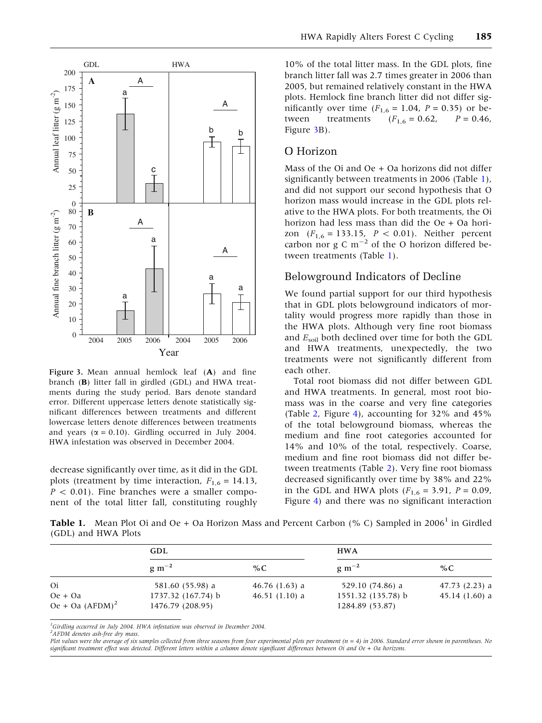

Figure 3. Mean annual hemlock leaf (A) and fine branch (B) litter fall in girdled (GDL) and HWA treatments during the study period. Bars denote standard error. Different uppercase letters denote statistically significant differences between treatments and different lowercase letters denote differences between treatments and years ( $\alpha$  = 0.10). Girdling occurred in July 2004. HWA infestation was observed in December 2004.

decrease significantly over time, as it did in the GDL plots (treatment by time interaction,  $F_{1,6} = 14.13$ ,  $P < 0.01$ ). Fine branches were a smaller component of the total litter fall, constituting roughly

10% of the total litter mass. In the GDL plots, fine branch litter fall was 2.7 times greater in 2006 than 2005, but remained relatively constant in the HWA plots. Hemlock fine branch litter did not differ significantly over time  $(F_{1,6} = 1.04, P = 0.35)$  or between treatments  $(F_{1,6} = 0.62, P = 0.46, P_{1,6} = 0.62)$ Figure 3B).

#### O Horizon

Mass of the Oi and  $0e + 0a$  horizons did not differ significantly between treatments in 2006 (Table 1), and did not support our second hypothesis that O horizon mass would increase in the GDL plots relative to the HWA plots. For both treatments, the Oi horizon had less mass than did the Oe + Oa horizon  $(F_{1,6} = 133.15, P < 0.01)$ . Neither percent carbon nor g C  $m^{-2}$  of the O horizon differed between treatments (Table 1).

#### Belowground Indicators of Decline

We found partial support for our third hypothesis that in GDL plots belowground indicators of mortality would progress more rapidly than those in the HWA plots. Although very fine root biomass and  $E_{\text{solid}}$  both declined over time for both the GDL and HWA treatments, unexpectedly, the two treatments were not significantly different from each other.

Total root biomass did not differ between GDL and HWA treatments. In general, most root biomass was in the coarse and very fine categories (Table [2](#page-7-0), Figure 4), accounting for 32% and 45% of the total belowground biomass, whereas the medium and fine root categories accounted for 14% and 10% of the total, respectively. Coarse, medium and fine root biomass did not differ between treatments (Table [2](#page-7-0)). Very fine root biomass decreased significantly over time by 38% and 22% in the GDL and HWA plots  $(F_{1,6} = 3.91, P = 0.09, P)$ Figure 4) and there was no significant interaction

Table 1. Mean Plot Oi and Oe + Oa Horizon Mass and Percent Carbon (% C) Sampled in 2006<sup>1</sup> in Girdled (GDL) and HWA Plots

|                                 | GDL                                    |                 | <b>HWA</b>                            |                 |
|---------------------------------|----------------------------------------|-----------------|---------------------------------------|-----------------|
|                                 | $\rm g~m^{-2}$                         | %C              | $g \, \text{m}^{-2}$                  | % $C$           |
| Oi                              | 581.60 (55.98) a                       | $46.76(1.63)$ a | 529.10 (74.86) a                      | 47.73 (2.23) a  |
| $0e + 0a$<br>$0e + 0a (AFDM)^2$ | 1737.32 (167.74) b<br>1476.79 (208.95) | $46.51(1.10)$ a | 1551.32 (135.78) b<br>1284.89 (53.87) | $45.14(1.60)$ a |

<sup>1</sup>Girdling occurred in July 2004. HWA infestation was observed in December 2004. <sup>2</sup>AFDM denotes ash-free dry mass.

Plot values were the average of six samples collected from three seasons from four experimental plots per treatment (n = 4) in 2006. Standard error shown in parentheses. No significant treatment effect was detected. Different letters within a column denote significant differences between Oi and Oe + Oa horizons.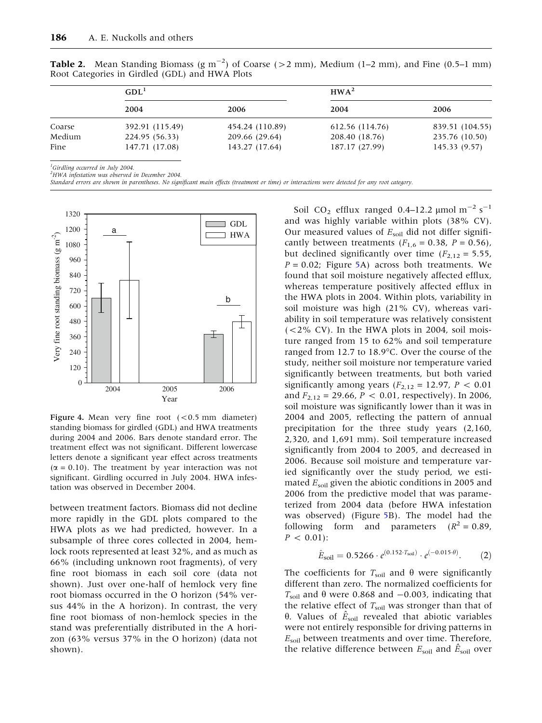|        | GDL <sup>1</sup> |                 | HWA <sup>2</sup> |                 |
|--------|------------------|-----------------|------------------|-----------------|
|        | 2004             | 2006            | 2004             | 2006            |
| Coarse | 392.91 (115.49)  | 454.24 (110.89) | 612.56 (114.76)  | 839.51 (104.55) |
| Medium | 224.95 (56.33)   | 209.66 (29.64)  | 208.40 (18.76)   | 235.76 (10.50)  |
| Fine   | 147.71 (17.08)   | 143.27 (17.64)  | 187.17 (27.99)   | 145.33 (9.57)   |

<span id="page-7-0"></span>**Table 2.** Mean Standing Biomass (g m<sup>-2</sup>) of Coarse (>2 mm), Medium (1-2 mm), and Fine (0.5-1 mm) Root Categories in Girdled (GDL) and HWA Plots

<sup>1</sup>Girdling occurred in July 2004.

2 HWA infestation was observed in December 2004.

Standard errors are shown in parentheses. No significant main effects (treatment or time) or interactions were detected for any root category.



Figure 4. Mean very fine root  $(< 0.5$  mm diameter) standing biomass for girdled (GDL) and HWA treatments during 2004 and 2006. Bars denote standard error. The treatment effect was not significant. Different lowercase letters denote a significant year effect across treatments  $(\alpha = 0.10)$ . The treatment by year interaction was not significant. Girdling occurred in July 2004. HWA infestation was observed in December 2004.

between treatment factors. Biomass did not decline more rapidly in the GDL plots compared to the HWA plots as we had predicted, however. In a subsample of three cores collected in 2004, hemlock roots represented at least 32%, and as much as 66% (including unknown root fragments), of very fine root biomass in each soil core (data not shown). Just over one-half of hemlock very fine root biomass occurred in the O horizon (54% versus 44% in the A horizon). In contrast, the very fine root biomass of non-hemlock species in the stand was preferentially distributed in the A horizon (63% versus 37% in the O horizon) (data not shown).

Soil CO<sub>2</sub> efflux ranged 0.4–12.2 µmol m<sup>-2</sup> s<sup>-1</sup> and was highly variable within plots (38% CV). Our measured values of  $E_{\text{solid}}$  did not differ significantly between treatments  $(F<sub>1,6</sub> = 0.38, P = 0.56)$ , but declined significantly over time  $(F_{2,12} = 5.55)$ ,  $P = 0.02$ ; Figure 5A) across both treatments. We found that soil moisture negatively affected efflux, whereas temperature positively affected efflux in the HWA plots in 2004. Within plots, variability in soil moisture was high (21% CV), whereas variability in soil temperature was relatively consistent  $(<2\%$  CV). In the HWA plots in 2004, soil moisture ranged from 15 to 62% and soil temperature ranged from 12.7 to 18.9°C. Over the course of the study, neither soil moisture nor temperature varied significantly between treatments, but both varied significantly among years ( $F_{2,12} = 12.97$ ,  $P < 0.01$ and  $F_{2,12} = 29.66$ ,  $P < 0.01$ , respectively). In 2006, soil moisture was significantly lower than it was in 2004 and 2005, reflecting the pattern of annual precipitation for the three study years (2,160, 2,320, and 1,691 mm). Soil temperature increased significantly from 2004 to 2005, and decreased in 2006. Because soil moisture and temperature varied significantly over the study period, we estimated  $E_{\text{soil}}$  given the abiotic conditions in 2005 and 2006 from the predictive model that was parameterized from 2004 data (before HWA infestation was observed) (Figure 5B). The model had the following form and parameters  $(R^2 = 0.89)$ ,  $P < 0.01$ :

$$
\hat{E}_{\text{soil}} = 0.5266 \cdot e^{(0.152 \cdot T_{\text{soil}})} \cdot e^{(-0.015 \cdot \theta)}.
$$
 (2)

The coefficients for  $T_{\text{solid}}$  and  $\theta$  were significantly different than zero. The normalized coefficients for  $T_{\text{soil}}$  and  $\theta$  were 0.868 and  $-0.003$ , indicating that the relative effect of  $T_{\text{solid}}$  was stronger than that of θ. Values of  $\hat{E}_{\text{soil}}$  revealed that abiotic variables were not entirely responsible for driving patterns in  $E_{\text{soil}}$  between treatments and over time. Therefore, the relative difference between  $E_{\text{solid}}$  and  $\hat{E}_{\text{solid}}$  over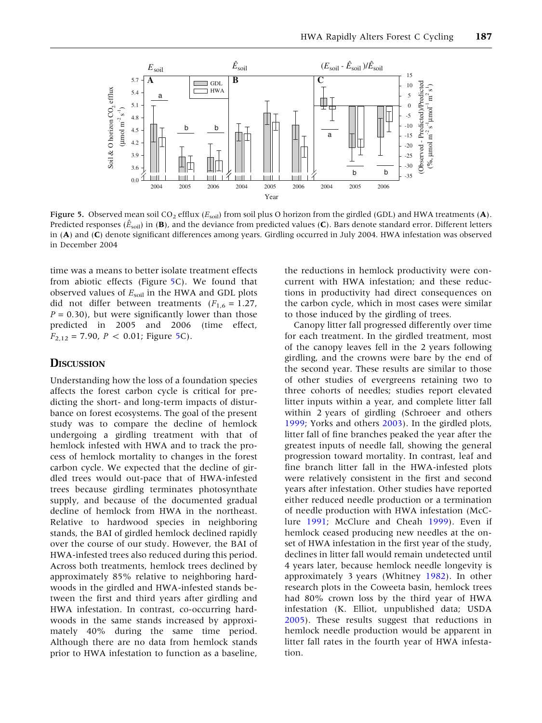

Figure 5. Observed mean soil CO<sub>2</sub> efflux ( $E<sub>soil</sub>$ ) from soil plus O horizon from the girdled (GDL) and HWA treatments (**A**). Predicted responses ( $\hat{E}_{\text{soil}}$ ) in (**B**), and the deviance from predicted values (**C**). Bars denote standard error. Different letters in (A) and (C) denote significant differences among years. Girdling occurred in July 2004. HWA infestation was observed in December 2004

time was a means to better isolate treatment effects from abiotic effects (Figure 5C). We found that observed values of  $E_{\text{solid}}$  in the HWA and GDL plots did not differ between treatments  $(F_{1,6} = 1.27)$ ,  $P = 0.30$ , but were significantly lower than those predicted in 2005 and 2006 (time effect,  $F_{2,12} = 7.90, P < 0.01$ ; Figure 5C).

#### **DISCUSSION**

Understanding how the loss of a foundation species affects the forest carbon cycle is critical for predicting the short- and long-term impacts of disturbance on forest ecosystems. The goal of the present study was to compare the decline of hemlock undergoing a girdling treatment with that of hemlock infested with HWA and to track the process of hemlock mortality to changes in the forest carbon cycle. We expected that the decline of girdled trees would out-pace that of HWA-infested trees because girdling terminates photosynthate supply, and because of the documented gradual decline of hemlock from HWA in the northeast. Relative to hardwood species in neighboring stands, the BAI of girdled hemlock declined rapidly over the course of our study. However, the BAI of HWA-infested trees also reduced during this period. Across both treatments, hemlock trees declined by approximately 85% relative to neighboring hardwoods in the girdled and HWA-infested stands between the first and third years after girdling and HWA infestation. In contrast, co-occurring hardwoods in the same stands increased by approximately 40% during the same time period. Although there are no data from hemlock stands prior to HWA infestation to function as a baseline,

the reductions in hemlock productivity were concurrent with HWA infestation; and these reductions in productivity had direct consequences on the carbon cycle, which in most cases were similar to those induced by the girdling of trees.

Canopy litter fall progressed differently over time for each treatment. In the girdled treatment, most of the canopy leaves fell in the 2 years following girdling, and the crowns were bare by the end of the second year. These results are similar to those of other studies of evergreens retaining two to three cohorts of needles; studies report elevated litter inputs within a year, and complete litter fall within 2 years of girdling (Schroeer and others [1999;](#page-11-0) Yorks and others [2003](#page-11-0)). In the girdled plots, litter fall of fine branches peaked the year after the greatest inputs of needle fall, showing the general progression toward mortality. In contrast, leaf and fine branch litter fall in the HWA-infested plots were relatively consistent in the first and second years after infestation. Other studies have reported either reduced needle production or a termination of needle production with HWA infestation (McClure [1991;](#page-11-0) McClure and Cheah [1999](#page-11-0)). Even if hemlock ceased producing new needles at the onset of HWA infestation in the first year of the study, declines in litter fall would remain undetected until 4 years later, because hemlock needle longevity is approximately 3 years (Whitney [1982\)](#page-11-0). In other research plots in the Coweeta basin, hemlock trees had 80% crown loss by the third year of HWA infestation (K. Elliot, unpublished data; USDA [2005\)](#page-11-0). These results suggest that reductions in hemlock needle production would be apparent in litter fall rates in the fourth year of HWA infestation.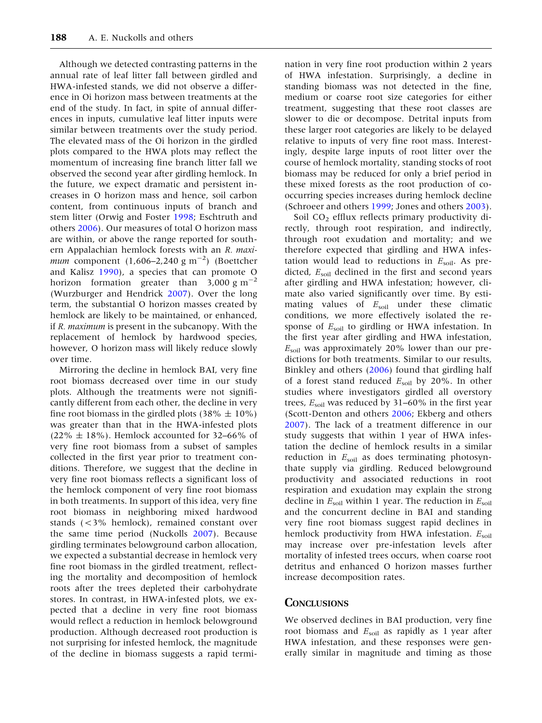Although we detected contrasting patterns in the annual rate of leaf litter fall between girdled and HWA-infested stands, we did not observe a difference in Oi horizon mass between treatments at the end of the study. In fact, in spite of annual differences in inputs, cumulative leaf litter inputs were similar between treatments over the study period. The elevated mass of the Oi horizon in the girdled plots compared to the HWA plots may reflect the momentum of increasing fine branch litter fall we observed the second year after girdling hemlock. In the future, we expect dramatic and persistent increases in O horizon mass and hence, soil carbon content, from continuous inputs of branch and stem litter (Orwig and Foster [1998](#page-11-0); Eschtruth and others [2006](#page-10-0)). Our measures of total O horizon mass are within, or above the range reported for southern Appalachian hemlock forests with an R. maximum component  $(1,606-2,240 \text{ g m}^{-2})$  (Boettcher and Kalisz [1990](#page-10-0)), a species that can promote O horizon formation greater than 3,000 g  $m^{-2}$ (Wurzburger and Hendrick [2007\)](#page-11-0). Over the long term, the substantial O horizon masses created by hemlock are likely to be maintained, or enhanced, if R. maximum is present in the subcanopy. With the replacement of hemlock by hardwood species, however, O horizon mass will likely reduce slowly over time.

Mirroring the decline in hemlock BAI, very fine root biomass decreased over time in our study plots. Although the treatments were not significantly different from each other, the decline in very fine root biomass in the girdled plots (38%  $\pm$  10%) was greater than that in the HWA-infested plots  $(22\% \pm 18\%)$ . Hemlock accounted for 32–66% of very fine root biomass from a subset of samples collected in the first year prior to treatment conditions. Therefore, we suggest that the decline in very fine root biomass reflects a significant loss of the hemlock component of very fine root biomass in both treatments. In support of this idea, very fine root biomass in neighboring mixed hardwood stands (<3% hemlock), remained constant over the same time period (Nuckolls [2007](#page-11-0)). Because girdling terminates belowground carbon allocation, we expected a substantial decrease in hemlock very fine root biomass in the girdled treatment, reflecting the mortality and decomposition of hemlock roots after the trees depleted their carbohydrate stores. In contrast, in HWA-infested plots, we expected that a decline in very fine root biomass would reflect a reduction in hemlock belowground production. Although decreased root production is not surprising for infested hemlock, the magnitude of the decline in biomass suggests a rapid termi-

nation in very fine root production within 2 years of HWA infestation. Surprisingly, a decline in standing biomass was not detected in the fine, medium or coarse root size categories for either treatment, suggesting that these root classes are slower to die or decompose. Detrital inputs from these larger root categories are likely to be delayed relative to inputs of very fine root mass. Interestingly, despite large inputs of root litter over the course of hemlock mortality, standing stocks of root biomass may be reduced for only a brief period in these mixed forests as the root production of cooccurring species increases during hemlock decline (Schroeer and others [1999;](#page-11-0) Jones and others [2003](#page-11-0)).

Soil  $CO<sub>2</sub>$  efflux reflects primary productivity directly, through root respiration, and indirectly, through root exudation and mortality; and we therefore expected that girdling and HWA infestation would lead to reductions in  $E_{\text{soil}}$ . As predicted,  $E_{\text{solid}}$  declined in the first and second years after girdling and HWA infestation; however, climate also varied significantly over time. By estimating values of  $E_{\text{solid}}$  under these climatic conditions, we more effectively isolated the response of  $E_{\text{solid}}$  to girdling or HWA infestation. In the first year after girdling and HWA infestation,  $E_{\text{soil}}$  was approximately 20% lower than our predictions for both treatments. Similar to our results, Binkley and others ([2006\)](#page-10-0) found that girdling half of a forest stand reduced  $E_{\text{soil}}$  by 20%. In other studies where investigators girdled all overstory trees,  $E_{\text{solid}}$  was reduced by 31–60% in the first year (Scott-Denton and others [2006](#page-11-0); Ekberg and others [2007\)](#page-10-0). The lack of a treatment difference in our study suggests that within 1 year of HWA infestation the decline of hemlock results in a similar reduction in  $E_{\text{solid}}$  as does terminating photosynthate supply via girdling. Reduced belowground productivity and associated reductions in root respiration and exudation may explain the strong decline in  $E_{\text{soil}}$  within 1 year. The reduction in  $E_{\text{soil}}$ and the concurrent decline in BAI and standing very fine root biomass suggest rapid declines in hemlock productivity from HWA infestation.  $E_{\text{solid}}$ may increase over pre-infestation levels after mortality of infested trees occurs, when coarse root detritus and enhanced O horizon masses further increase decomposition rates.

#### **CONCLUSIONS**

We observed declines in BAI production, very fine root biomass and  $E_{\text{solid}}$  as rapidly as 1 year after HWA infestation, and these responses were generally similar in magnitude and timing as those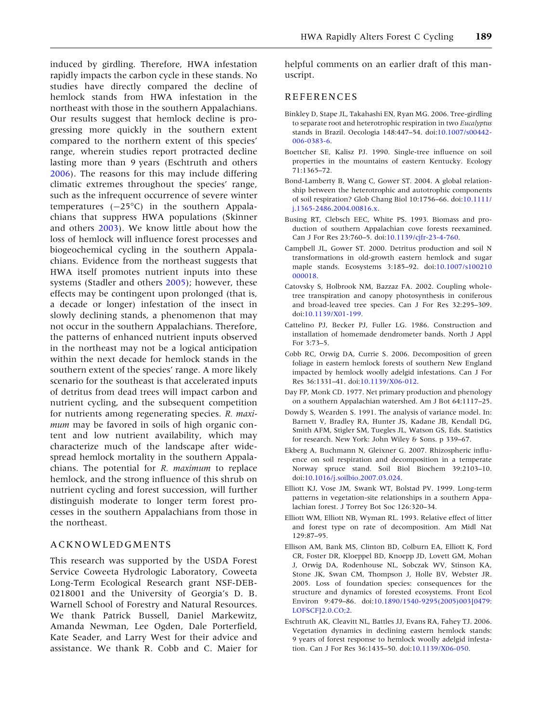<span id="page-10-0"></span>induced by girdling. Therefore, HWA infestation rapidly impacts the carbon cycle in these stands. No studies have directly compared the decline of hemlock stands from HWA infestation in the northeast with those in the southern Appalachians. Our results suggest that hemlock decline is progressing more quickly in the southern extent compared to the northern extent of this species' range, wherein studies report protracted decline lasting more than 9 years (Eschtruth and others 2006). The reasons for this may include differing climatic extremes throughout the species' range, such as the infrequent occurrence of severe winter temperatures  $(-25^{\circ}C)$  in the southern Appalachians that suppress HWA populations (Skinner and others [2003\)](#page-11-0). We know little about how the loss of hemlock will influence forest processes and biogeochemical cycling in the southern Appalachians. Evidence from the northeast suggests that HWA itself promotes nutrient inputs into these systems (Stadler and others [2005\)](#page-11-0); however, these effects may be contingent upon prolonged (that is, a decade or longer) infestation of the insect in slowly declining stands, a phenomenon that may not occur in the southern Appalachians. Therefore, the patterns of enhanced nutrient inputs observed in the northeast may not be a logical anticipation within the next decade for hemlock stands in the southern extent of the species' range. A more likely scenario for the southeast is that accelerated inputs of detritus from dead trees will impact carbon and nutrient cycling, and the subsequent competition for nutrients among regenerating species. R. maximum may be favored in soils of high organic content and low nutrient availability, which may characterize much of the landscape after widespread hemlock mortality in the southern Appalachians. The potential for R. maximum to replace hemlock, and the strong influence of this shrub on nutrient cycling and forest succession, will further distinguish moderate to longer term forest processes in the southern Appalachians from those in the northeast.

#### ACKNOWLEDGMENTS

This research was supported by the USDA Forest Service Coweeta Hydrologic Laboratory, Coweeta Long-Term Ecological Research grant NSF-DEB-0218001 and the University of Georgia's D. B. Warnell School of Forestry and Natural Resources. We thank Patrick Bussell, Daniel Markewitz, Amanda Newman, Lee Ogden, Dale Porterfield, Kate Seader, and Larry West for their advice and assistance. We thank R. Cobb and C. Maier for

helpful comments on an earlier draft of this manuscript.

#### REFERENCES

- Binkley D, Stape JL, Takahashi EN, Ryan MG. 2006. Tree-girdling to separate root and heterotrophic respiration in two Eucalyptus stands in Brazil. Oecologia 148:447–54. doi:10.1007/s00442- 006-0383-6.
- Boettcher SE, Kalisz PJ. 1990. Single-tree influence on soil properties in the mountains of eastern Kentucky. Ecology 71:1365–72.
- Bond-Lamberty B, Wang C, Gower ST. 2004. A global relationship between the heterotrophic and autotrophic components of soil respiration? Glob Chang Biol 10:1756–66. doi:10.1111/ j.1365-2486.2004.00816.x.
- Busing RT, Clebsch EEC, White PS. 1993. Biomass and production of southern Appalachian cove forests reexamined. Can J For Res 23:760–5. doi:10.1139/cjfr-23-4-760.
- Campbell JL, Gower ST. 2000. Detritus production and soil N transformations in old-growth eastern hemlock and sugar maple stands. Ecosystems 3:185–92. doi:10.1007/s100210 000018.
- Catovsky S, Holbrook NM, Bazzaz FA. 2002. Coupling wholetree transpiration and canopy photosynthesis in coniferous and broad-leaved tree species. Can J For Res 32:295–309. doi:10.1139/X01-199.
- Cattelino PJ, Becker PJ, Fuller LG. 1986. Construction and installation of homemade dendrometer bands. North J Appl For 3:73–5.
- Cobb RC, Orwig DA, Currie S. 2006. Decomposition of green foliage in eastern hemlock forests of southern New England impacted by hemlock woolly adelgid infestations. Can J For Res 36:1331–41. doi:10.1139/X06-012.
- Day FP, Monk CD. 1977. Net primary production and phenology on a southern Appalachian watershed. Am J Bot 64:1117–25.
- Dowdy S, Wearden S. 1991. The analysis of variance model. In: Barnett V, Bradley RA, Hunter JS, Kadane JB, Kendall DG, Smith AFM, Stigler SM, Tuegles JL, Watson GS, Eds. Statistics for research. New York: John Wiley & Sons. p 339–67.
- Ekberg A, Buchmann N, Gleixner G. 2007. Rhizospheric influence on soil respiration and decomposition in a temperate Norway spruce stand. Soil Biol Biochem 39:2103–10. doi:10.1016/j.soilbio.2007.03.024.
- Elliott KJ, Vose JM, Swank WT, Bolstad PV. 1999. Long-term patterns in vegetation-site relationships in a southern Appalachian forest. J Torrey Bot Soc 126:320–34.
- Elliott WM, Elliott NB, Wyman RL. 1993. Relative effect of litter and forest type on rate of decomposition. Am Midl Nat 129:87–95.
- Ellison AM, Bank MS, Clinton BD, Colburn EA, Elliott K, Ford CR, Foster DR, Kloeppel BD, Knoepp JD, Lovett GM, Mohan J, Orwig DA, Rodenhouse NL, Sobczak WV, Stinson KA, Stone JK, Swan CM, Thompson J, Holle BV, Webster JR. 2005. Loss of foundation species: consequences for the structure and dynamics of forested ecosystems. Front Ecol Environ 9:479–86. doi:10.1890/1540-9295(2005)003[0479: LOFSCF]2.0.CO;2.
- Eschtruth AK, Cleavitt NL, Battles JJ, Evans RA, Fahey TJ. 2006. Vegetation dynamics in declining eastern hemlock stands: 9 years of forest response to hemlock woolly adelgid infestation. Can J For Res 36:1435–50. doi:10.1139/X06-050.